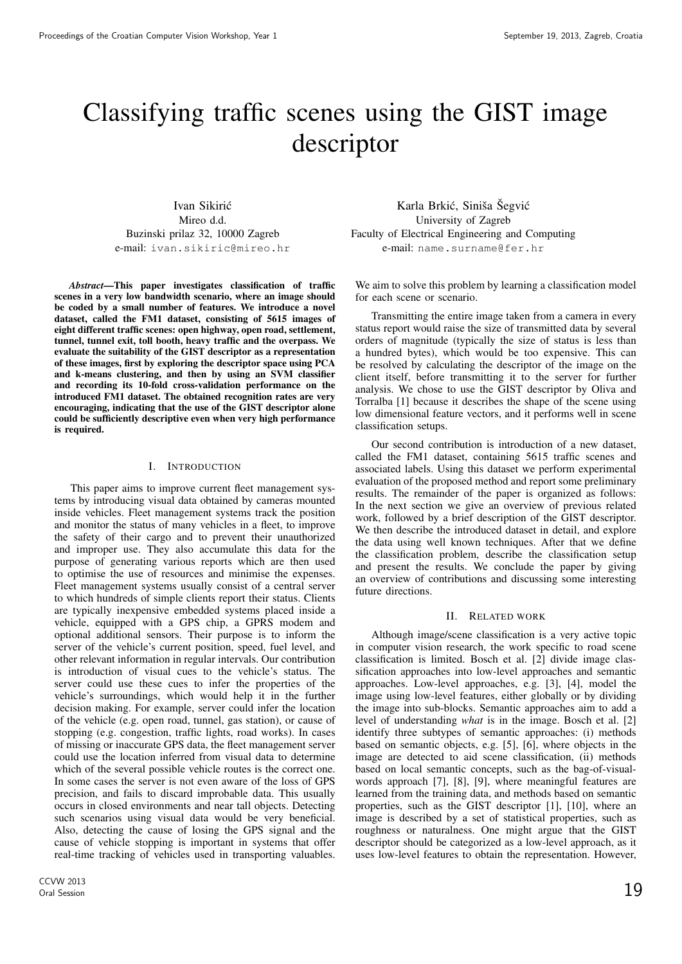# Classifying traffic scenes using the GIST image descriptor

Ivan Sikiric´ Mireo d.d. Buzinski prilaz 32, 10000 Zagreb e-mail: ivan.sikiric@mireo.hr

*Abstract*—This paper investigates classification of traffic scenes in a very low bandwidth scenario, where an image should be coded by a small number of features. We introduce a novel dataset, called the FM1 dataset, consisting of 5615 images of eight different traffic scenes: open highway, open road, settlement, tunnel, tunnel exit, toll booth, heavy traffic and the overpass. We evaluate the suitability of the GIST descriptor as a representation of these images, first by exploring the descriptor space using PCA and k-means clustering, and then by using an SVM classifier and recording its 10-fold cross-validation performance on the introduced FM1 dataset. The obtained recognition rates are very encouraging, indicating that the use of the GIST descriptor alone could be sufficiently descriptive even when very high performance is required.

#### I. INTRODUCTION

This paper aims to improve current fleet management systems by introducing visual data obtained by cameras mounted inside vehicles. Fleet management systems track the position and monitor the status of many vehicles in a fleet, to improve the safety of their cargo and to prevent their unauthorized and improper use. They also accumulate this data for the purpose of generating various reports which are then used to optimise the use of resources and minimise the expenses. Fleet management systems usually consist of a central server to which hundreds of simple clients report their status. Clients are typically inexpensive embedded systems placed inside a vehicle, equipped with a GPS chip, a GPRS modem and optional additional sensors. Their purpose is to inform the server of the vehicle's current position, speed, fuel level, and other relevant information in regular intervals. Our contribution is introduction of visual cues to the vehicle's status. The server could use these cues to infer the properties of the vehicle's surroundings, which would help it in the further decision making. For example, server could infer the location of the vehicle (e.g. open road, tunnel, gas station), or cause of stopping (e.g. congestion, traffic lights, road works). In cases of missing or inaccurate GPS data, the fleet management server could use the location inferred from visual data to determine which of the several possible vehicle routes is the correct one. In some cases the server is not even aware of the loss of GPS precision, and fails to discard improbable data. This usually occurs in closed environments and near tall objects. Detecting such scenarios using visual data would be very beneficial. Also, detecting the cause of losing the GPS signal and the cause of vehicle stopping is important in systems that offer real-time tracking of vehicles used in transporting valuables.

Karla Brkić, Siniša Šegvić University of Zagreb Faculty of Electrical Engineering and Computing e-mail: name.surname@fer.hr

We aim to solve this problem by learning a classification model for each scene or scenario.

Transmitting the entire image taken from a camera in every status report would raise the size of transmitted data by several orders of magnitude (typically the size of status is less than a hundred bytes), which would be too expensive. This can be resolved by calculating the descriptor of the image on the client itself, before transmitting it to the server for further analysis. We chose to use the GIST descriptor by Oliva and Torralba [1] because it describes the shape of the scene using low dimensional feature vectors, and it performs well in scene classification setups.

Our second contribution is introduction of a new dataset, called the FM1 dataset, containing 5615 traffic scenes and associated labels. Using this dataset we perform experimental evaluation of the proposed method and report some preliminary results. The remainder of the paper is organized as follows: In the next section we give an overview of previous related work, followed by a brief description of the GIST descriptor. We then describe the introduced dataset in detail, and explore the data using well known techniques. After that we define the classification problem, describe the classification setup and present the results. We conclude the paper by giving an overview of contributions and discussing some interesting future directions.

#### II. RELATED WORK

Although image/scene classification is a very active topic in computer vision research, the work specific to road scene classification is limited. Bosch et al. [2] divide image classification approaches into low-level approaches and semantic approaches. Low-level approaches, e.g. [3], [4], model the image using low-level features, either globally or by dividing the image into sub-blocks. Semantic approaches aim to add a level of understanding *what* is in the image. Bosch et al. [2] identify three subtypes of semantic approaches: (i) methods based on semantic objects, e.g. [5], [6], where objects in the image are detected to aid scene classification, (ii) methods based on local semantic concepts, such as the bag-of-visualwords approach [7], [8], [9], where meaningful features are learned from the training data, and methods based on semantic properties, such as the GIST descriptor [1], [10], where an image is described by a set of statistical properties, such as roughness or naturalness. One might argue that the GIST descriptor should be categorized as a low-level approach, as it uses low-level features to obtain the representation. However,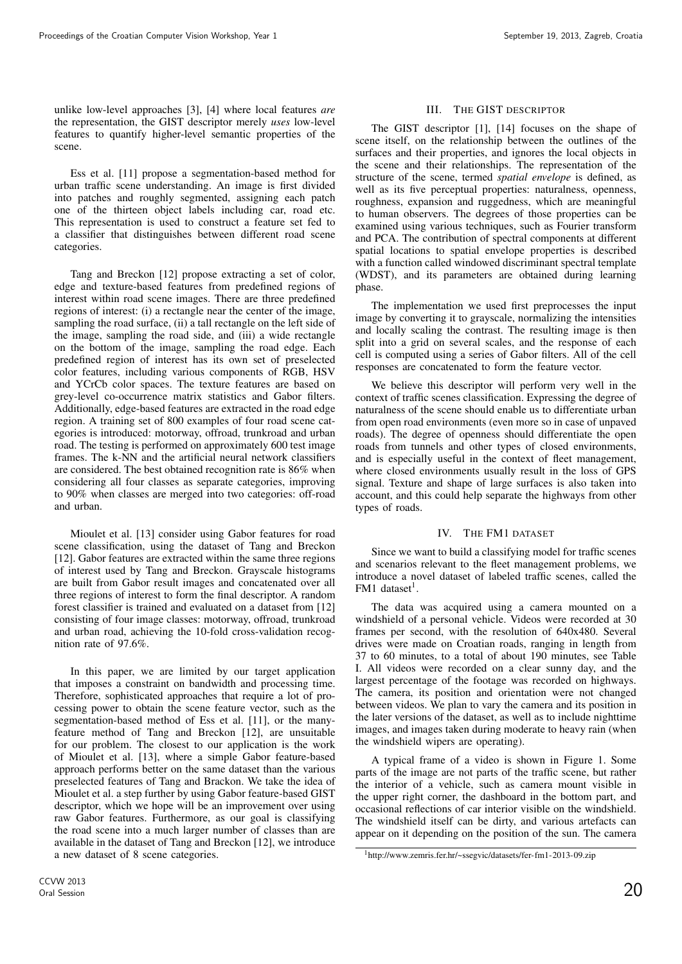unlike low-level approaches [3], [4] where local features *are* the representation, the GIST descriptor merely *uses* low-level features to quantify higher-level semantic properties of the scene.

Ess et al. [11] propose a segmentation-based method for urban traffic scene understanding. An image is first divided into patches and roughly segmented, assigning each patch one of the thirteen object labels including car, road etc. This representation is used to construct a feature set fed to a classifier that distinguishes between different road scene categories.

Tang and Breckon [12] propose extracting a set of color, edge and texture-based features from predefined regions of interest within road scene images. There are three predefined regions of interest: (i) a rectangle near the center of the image, sampling the road surface, (ii) a tall rectangle on the left side of the image, sampling the road side, and (iii) a wide rectangle on the bottom of the image, sampling the road edge. Each predefined region of interest has its own set of preselected color features, including various components of RGB, HSV and YCrCb color spaces. The texture features are based on grey-level co-occurrence matrix statistics and Gabor filters. Additionally, edge-based features are extracted in the road edge region. A training set of 800 examples of four road scene categories is introduced: motorway, offroad, trunkroad and urban road. The testing is performed on approximately 600 test image frames. The k-NN and the artificial neural network classifiers are considered. The best obtained recognition rate is 86% when considering all four classes as separate categories, improving to 90% when classes are merged into two categories: off-road and urban.

Mioulet et al. [13] consider using Gabor features for road scene classification, using the dataset of Tang and Breckon [12]. Gabor features are extracted within the same three regions of interest used by Tang and Breckon. Grayscale histograms are built from Gabor result images and concatenated over all three regions of interest to form the final descriptor. A random forest classifier is trained and evaluated on a dataset from [12] consisting of four image classes: motorway, offroad, trunkroad and urban road, achieving the 10-fold cross-validation recognition rate of 97.6%.

In this paper, we are limited by our target application that imposes a constraint on bandwidth and processing time. Therefore, sophisticated approaches that require a lot of processing power to obtain the scene feature vector, such as the segmentation-based method of Ess et al. [11], or the manyfeature method of Tang and Breckon [12], are unsuitable for our problem. The closest to our application is the work of Mioulet et al. [13], where a simple Gabor feature-based approach performs better on the same dataset than the various preselected features of Tang and Brackon. We take the idea of Mioulet et al. a step further by using Gabor feature-based GIST descriptor, which we hope will be an improvement over using raw Gabor features. Furthermore, as our goal is classifying the road scene into a much larger number of classes than are available in the dataset of Tang and Breckon [12], we introduce a new dataset of 8 scene categories.

# III. THE GIST DESCRIPTOR

The GIST descriptor [1], [14] focuses on the shape of scene itself, on the relationship between the outlines of the surfaces and their properties, and ignores the local objects in the scene and their relationships. The representation of the structure of the scene, termed *spatial envelope* is defined, as well as its five perceptual properties: naturalness, openness, roughness, expansion and ruggedness, which are meaningful to human observers. The degrees of those properties can be examined using various techniques, such as Fourier transform and PCA. The contribution of spectral components at different spatial locations to spatial envelope properties is described with a function called windowed discriminant spectral template (WDST), and its parameters are obtained during learning phase.

The implementation we used first preprocesses the input image by converting it to grayscale, normalizing the intensities and locally scaling the contrast. The resulting image is then split into a grid on several scales, and the response of each cell is computed using a series of Gabor filters. All of the cell responses are concatenated to form the feature vector.

We believe this descriptor will perform very well in the context of traffic scenes classification. Expressing the degree of naturalness of the scene should enable us to differentiate urban from open road environments (even more so in case of unpaved roads). The degree of openness should differentiate the open roads from tunnels and other types of closed environments, and is especially useful in the context of fleet management, where closed environments usually result in the loss of GPS signal. Texture and shape of large surfaces is also taken into account, and this could help separate the highways from other types of roads.

# IV. THE FM1 DATASET

Since we want to build a classifying model for traffic scenes and scenarios relevant to the fleet management problems, we introduce a novel dataset of labeled traffic scenes, called the  $FM1$  dataset<sup>1</sup>.

The data was acquired using a camera mounted on a windshield of a personal vehicle. Videos were recorded at 30 frames per second, with the resolution of 640x480. Several drives were made on Croatian roads, ranging in length from 37 to 60 minutes, to a total of about 190 minutes, see Table I. All videos were recorded on a clear sunny day, and the largest percentage of the footage was recorded on highways. The camera, its position and orientation were not changed between videos. We plan to vary the camera and its position in the later versions of the dataset, as well as to include nighttime images, and images taken during moderate to heavy rain (when the windshield wipers are operating).

A typical frame of a video is shown in Figure 1. Some parts of the image are not parts of the traffic scene, but rather the interior of a vehicle, such as camera mount visible in the upper right corner, the dashboard in the bottom part, and occasional reflections of car interior visible on the windshield. The windshield itself can be dirty, and various artefacts can appear on it depending on the position of the sun. The camera

<sup>1</sup>http://www.zemris.fer.hr/~ssegvic/datasets/fer-fm1-2013-09.zip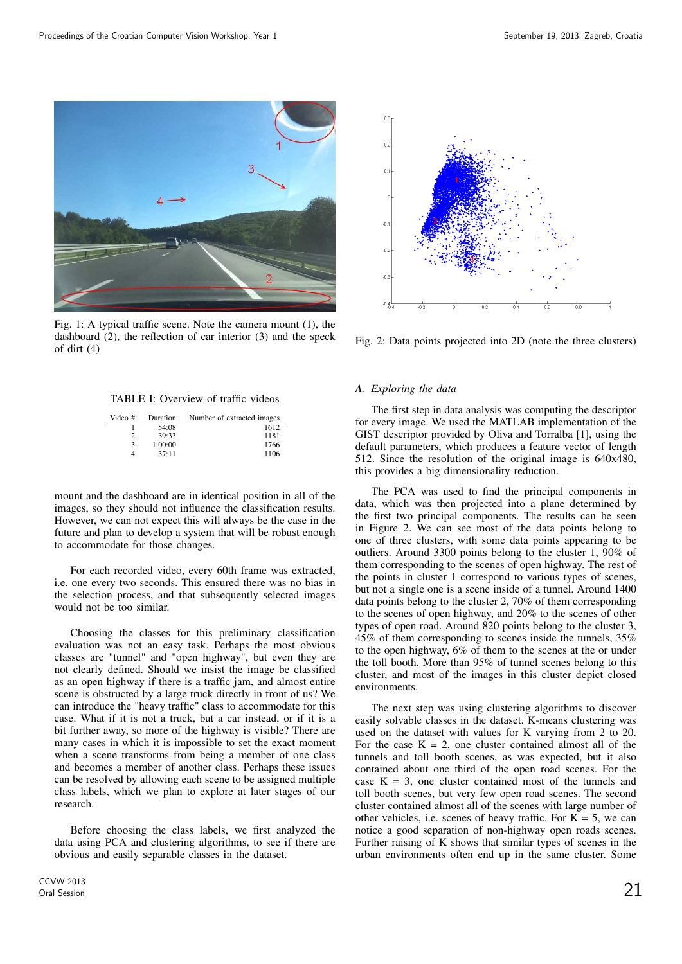

Fig. 1: A typical traffic scene. Note the camera mount (1), the dashboard (2), the reflection of car interior (3) and the speck of dirt (4)

TABLE I: Overview of traffic videos

| Video # | Duration | Number of extracted images |
|---------|----------|----------------------------|
|         | 54:08    | 1612                       |
|         | 39:33    | 1181                       |
| 3       | 1:00:00  | 1766                       |
|         | 37:11    | 1106                       |

mount and the dashboard are in identical position in all of the images, so they should not influence the classification results. However, we can not expect this will always be the case in the future and plan to develop a system that will be robust enough to accommodate for those changes.

For each recorded video, every 60th frame was extracted, i.e. one every two seconds. This ensured there was no bias in the selection process, and that subsequently selected images would not be too similar.

Choosing the classes for this preliminary classification evaluation was not an easy task. Perhaps the most obvious classes are "tunnel" and "open highway", but even they are not clearly defined. Should we insist the image be classified as an open highway if there is a traffic jam, and almost entire scene is obstructed by a large truck directly in front of us? We can introduce the "heavy traffic" class to accommodate for this case. What if it is not a truck, but a car instead, or if it is a bit further away, so more of the highway is visible? There are many cases in which it is impossible to set the exact moment when a scene transforms from being a member of one class and becomes a member of another class. Perhaps these issues can be resolved by allowing each scene to be assigned multiple class labels, which we plan to explore at later stages of our research.

Before choosing the class labels, we first analyzed the data using PCA and clustering algorithms, to see if there are obvious and easily separable classes in the dataset.



Fig. 2: Data points projected into 2D (note the three clusters)

#### *A. Exploring the data*

The first step in data analysis was computing the descriptor for every image. We used the MATLAB implementation of the GIST descriptor provided by Oliva and Torralba [1], using the default parameters, which produces a feature vector of length 512. Since the resolution of the original image is 640x480, this provides a big dimensionality reduction.

The PCA was used to find the principal components in data, which was then projected into a plane determined by the first two principal components. The results can be seen in Figure 2. We can see most of the data points belong to one of three clusters, with some data points appearing to be outliers. Around 3300 points belong to the cluster 1, 90% of them corresponding to the scenes of open highway. The rest of the points in cluster 1 correspond to various types of scenes, but not a single one is a scene inside of a tunnel. Around 1400 data points belong to the cluster 2, 70% of them corresponding to the scenes of open highway, and 20% to the scenes of other types of open road. Around 820 points belong to the cluster 3, 45% of them corresponding to scenes inside the tunnels, 35% to the open highway, 6% of them to the scenes at the or under the toll booth. More than 95% of tunnel scenes belong to this cluster, and most of the images in this cluster depict closed environments.

The next step was using clustering algorithms to discover easily solvable classes in the dataset. K-means clustering was used on the dataset with values for K varying from 2 to 20. For the case  $K = 2$ , one cluster contained almost all of the tunnels and toll booth scenes, as was expected, but it also contained about one third of the open road scenes. For the case  $K = 3$ , one cluster contained most of the tunnels and toll booth scenes, but very few open road scenes. The second cluster contained almost all of the scenes with large number of other vehicles, i.e. scenes of heavy traffic. For  $K = 5$ , we can notice a good separation of non-highway open roads scenes. Further raising of K shows that similar types of scenes in the urban environments often end up in the same cluster. Some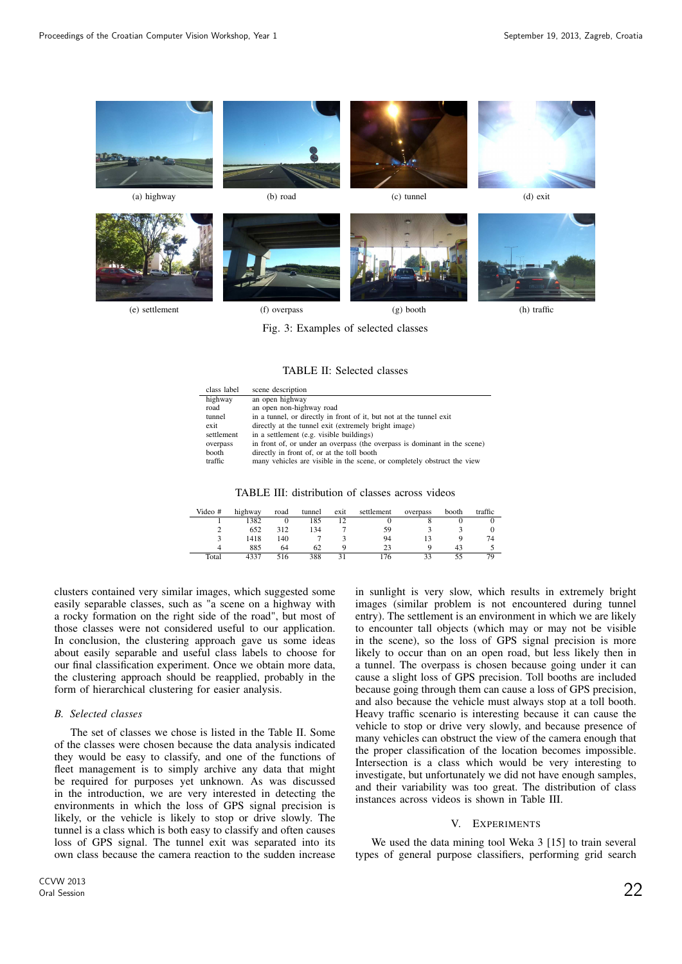

Fig. 3: Examples of selected classes

#### TABLE II: Selected classes

| class label | scene description                                                         |
|-------------|---------------------------------------------------------------------------|
| highway     | an open highway                                                           |
| road        | an open non-highway road                                                  |
| tunnel      | in a tunnel, or directly in front of it, but not at the tunnel exit       |
| exit        | directly at the tunnel exit (extremely bright image)                      |
| settlement  | in a settlement (e.g. visible buildings)                                  |
| overpass    | in front of, or under an overpass (the overpass is dominant in the scene) |
| booth       | directly in front of, or at the toll booth                                |
| traffic     | many vehicles are visible in the scene, or completely obstruct the view   |

TABLE III: distribution of classes across videos

| Video # | highway | road | tunnel | exit | settlement | overpass | booth | traffic |
|---------|---------|------|--------|------|------------|----------|-------|---------|
|         | 1382    |      | 185    |      |            |          |       |         |
|         | 652     | 312  | 134    |      | 59         |          |       |         |
|         | 1418    | 140  |        |      | 94         |          |       | 74      |
|         | 885     | 64   | 62     |      | 23         |          | 43    |         |
| Total   | 4337    | 516  | 388    |      | 76         |          |       | 79      |

clusters contained very similar images, which suggested some easily separable classes, such as "a scene on a highway with a rocky formation on the right side of the road", but most of those classes were not considered useful to our application. In conclusion, the clustering approach gave us some ideas about easily separable and useful class labels to choose for our final classification experiment. Once we obtain more data, the clustering approach should be reapplied, probably in the form of hierarchical clustering for easier analysis.

# *B. Selected classes*

The set of classes we chose is listed in the Table II. Some of the classes were chosen because the data analysis indicated they would be easy to classify, and one of the functions of fleet management is to simply archive any data that might be required for purposes yet unknown. As was discussed in the introduction, we are very interested in detecting the environments in which the loss of GPS signal precision is likely, or the vehicle is likely to stop or drive slowly. The tunnel is a class which is both easy to classify and often causes loss of GPS signal. The tunnel exit was separated into its own class because the camera reaction to the sudden increase

in sunlight is very slow, which results in extremely bright images (similar problem is not encountered during tunnel entry). The settlement is an environment in which we are likely to encounter tall objects (which may or may not be visible in the scene), so the loss of GPS signal precision is more likely to occur than on an open road, but less likely then in a tunnel. The overpass is chosen because going under it can cause a slight loss of GPS precision. Toll booths are included because going through them can cause a loss of GPS precision, and also because the vehicle must always stop at a toll booth. Heavy traffic scenario is interesting because it can cause the vehicle to stop or drive very slowly, and because presence of many vehicles can obstruct the view of the camera enough that the proper classification of the location becomes impossible. Intersection is a class which would be very interesting to investigate, but unfortunately we did not have enough samples, and their variability was too great. The distribution of class instances across videos is shown in Table III.

### V. EXPERIMENTS

We used the data mining tool Weka 3 [15] to train several types of general purpose classifiers, performing grid search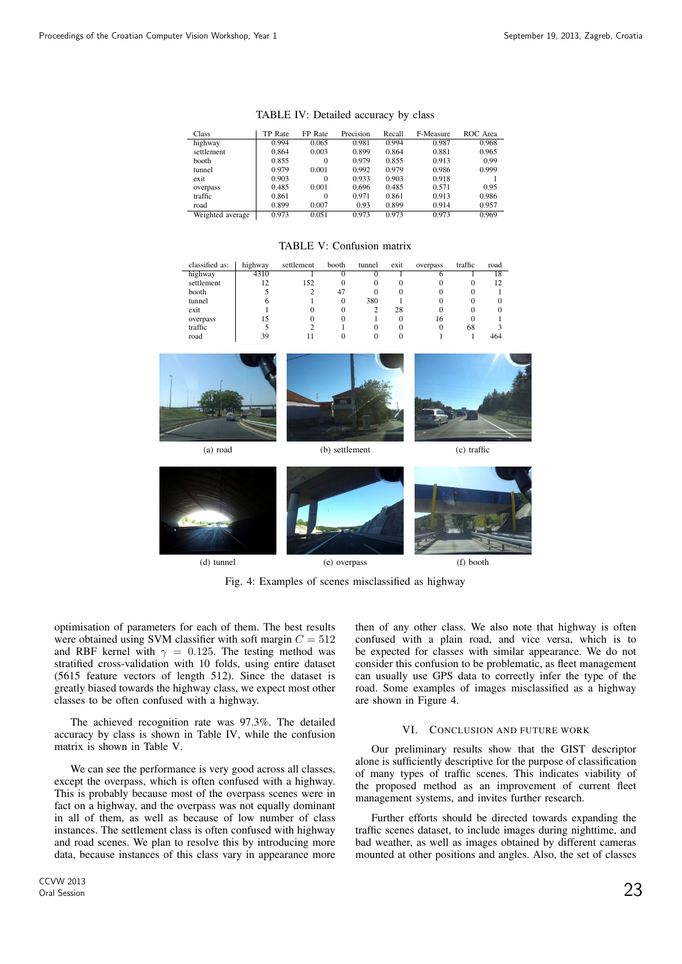| Class            | TP Rate | FP Rate  | Precision | Recall | F-Measure | ROC Area |
|------------------|---------|----------|-----------|--------|-----------|----------|
| highway          | 0.994   | 0.065    | 0.981     | 0.994  | 0.987     | 0.968    |
| settlement       | 0.864   | 0.003    | 0.899     | 0.864  | 0.881     | 0.965    |
| booth            | 0.855   | $\Omega$ | 0.979     | 0.855  | 0.913     | 0.99     |
| tunnel           | 0.979   | 0.001    | 0.992     | 0.979  | 0.986     | 0.999    |
| exit             | 0.903   | $\Omega$ | 0.933     | 0.903  | 0.918     |          |
| overpass         | 0.485   | 0.001    | 0.696     | 0.485  | 0.571     | 0.95     |
| traffic          | 0.861   | $\Omega$ | 0.971     | 0.861  | 0.913     | 0.986    |
| road             | 0.899   | 0.007    | 0.93      | 0.899  | 0.914     | 0.957    |
| Weighted average | 0.973   | 0.051    | 0.973     | 0.973  | 0.973     | 0.969    |

TABLE V: Confusion matrix

classified as: | highway settlement booth tunnel exit overpass traffi highway | 4310 1 0 0 1 6 1 18 settlement | 12 152 0 0 0 0 0 12 booth | 5 2 47 0 0 0 0 1

TABLE IV: Detailed accuracy by class

| tunnel<br>exit<br>overpass<br>traffic<br>road | 6<br>$\begin{array}{c} 15 \\ 5 \end{array}$<br>39 | 1<br>$\boldsymbol{0}$<br>$\boldsymbol{0}$<br>$\overline{2}$<br>$11\,$ | $\bf{0}$<br>$\boldsymbol{0}$<br>$\mathbf{0}$<br>1<br>$\boldsymbol{0}$ | 380<br>$\overline{2}$<br>$\mathbf{1}$<br>$\boldsymbol{0}$<br>$\boldsymbol{0}$ | 1<br>$28\,$<br>$\boldsymbol{0}$<br>$\boldsymbol{0}$<br>$\boldsymbol{0}$ | $\theta$<br>$\Omega$<br>16<br>$\boldsymbol{0}$<br>1 | $\mathbf{0}$<br>$\mathbf{0}$<br>$\mathbf{0}$<br>68<br>$\mathbf{1}$ | $\mathbf{0}$<br>$\boldsymbol{0}$<br>1<br>$\mathfrak{Z}$<br>464 |  |
|-----------------------------------------------|---------------------------------------------------|-----------------------------------------------------------------------|-----------------------------------------------------------------------|-------------------------------------------------------------------------------|-------------------------------------------------------------------------|-----------------------------------------------------|--------------------------------------------------------------------|----------------------------------------------------------------|--|
| (a) road                                      |                                                   |                                                                       | (b) settlement                                                        |                                                                               |                                                                         |                                                     | (c) traffic                                                        |                                                                |  |
|                                               |                                                   |                                                                       |                                                                       |                                                                               |                                                                         |                                                     |                                                                    |                                                                |  |

(d) tunnel (e) overpass (f) booth

Fig. 4: Examples of scenes misclassified as highway

optimisation of parameters for each of them. The best results were obtained using SVM classifier with soft margin  $C = 512$ and RBF kernel with  $\gamma = 0.125$ . The testing method was stratified cross-validation with 10 folds, using entire dataset (5615 feature vectors of length 512). Since the dataset is greatly biased towards the highway class, we expect most other classes to be often confused with a highway.

The achieved recognition rate was 97.3%. The detailed accuracy by class is shown in Table IV, while the confusion matrix is shown in Table V.

We can see the performance is very good across all classes, except the overpass, which is often confused with a highway. This is probably because most of the overpass scenes were in fact on a highway, and the overpass was not equally dominant in all of them, as well as because of low number of class instances. The settlement class is often confused with highway and road scenes. We plan to resolve this by introducing more data, because instances of this class vary in appearance more

then of any other class. We also note that highway is often confused with a plain road, and vice versa, which is to be expected for classes with similar appearance. We do not consider this confusion to be problematic, as fleet management can usually use GPS data to correctly infer the type of the road. Some examples of images misclassified as a highway are shown in Figure 4.

### VI. CONCLUSION AND FUTURE WORK

Our preliminary results show that the GIST descriptor alone is sufficiently descriptive for the purpose of classification of many types of traffic scenes. This indicates viability of the proposed method as an improvement of current fleet management systems, and invites further research.

Further efforts should be directed towards expanding the traffic scenes dataset, to include images during nighttime, and bad weather, as well as images obtained by different cameras mounted at other positions and angles. Also, the set of classes